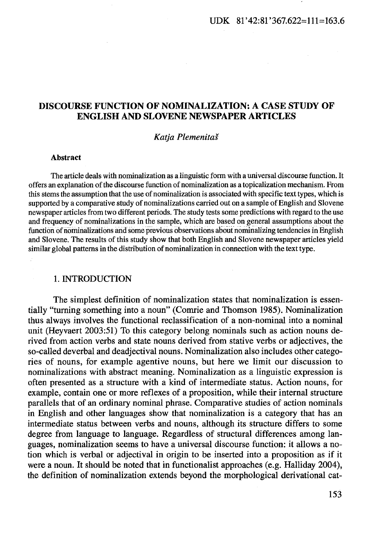# DISCOURSE FUNCTION OF NOMINALIZATION: A CASE STUDY OF ENGLISH AND SLOVENE NEWSPAPER ARTICLES

#### *Katja Plemenitas*

#### Abstract

The article deals with nominalization as a linguistic form with a universal discourse function.lt offers an explanation of the discourse function of nominalization as a topicalization mechanism. From this stems the assumption that the use of nominalization is associated with specific text types, which is supported by a comparative study of nominalizations carried out on a sample of English and Slovene newspaper articles from two different periods. The study tests some predictions with regard to the use and frequency of nominalizations in the sample, which are based on general assumptions about the function of nominalizations and some previous observations about nominalizing tendencies in English and Slovene. The results of this study show that both English and Slovene newspaper articles yield similar global patterns in the distribution of nominalization in connection with the text type.

#### 1. INTRODUCTION

The simplest definition of nominalization states that nominalization is essentially "turning something into a noun" (Comrie and Thomson 1985). Nominalization thus always involves the functional reclassification of a non-nominal into a nominal unit (Heyvaert 2003:51) To this category belong nominals such as action nouns derived from action verbs and state nouns derived from stative verbs or adjectives, the so-called deverbal and deadjectival nouns. Nominalization also includes other categories of nouns, for example agentive nouns, but here we limit our discussion to nominalizations with abstract meaning. Nominalization as a linguistic expression is often presented as a structure with a kind of intermediate status. Action nouns, for example, contain one or more reflexes of a proposition, while their internal structure parallels that of an ordinary nominal phrase. Comparative studies of action nominals in English and other languages show that nominalization is a category that has an intermediate status between verbs and nouns, although its structure differs to some degree from language to language. Regardless of structural differences among languages, nominalization seems to have a universal discourse function: it allows a notion which is verbal or adjectival in origin to be inserted into a proposition as if it were a noun. It should be noted that in functionalist approaches (e.g. Halliday 2004), the definition of nominalization extends beyond the morphological derivational cat-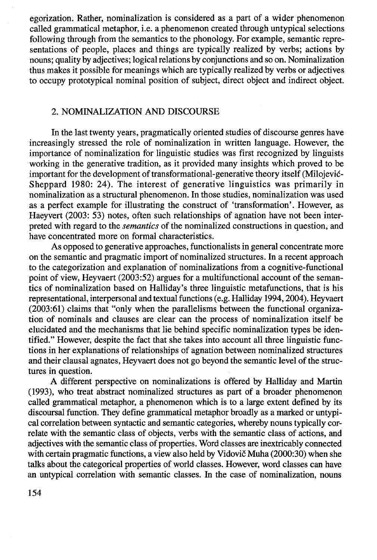egorization. Rather, nominalization is considered as a part of a wider phenomenon called grammatical metaphor, i.e. a phenomenon created through untypical selections following through from the semantics to the phonology. For example, semantic representations of people, places and things are typically realized by verbs; actions by nouns; quality by adjectives; logical relations by conjunctions and so on. Nominalization thus makes it possible for meanings which are typically realized by verbs or adjectives to occupy prototypical nominal position of subject, direct object and indirect object.

# 2. NOMINALIZATION AND DISCOURSE

In the last twenty years, pragmatically oriented studies of discourse genres have increasingly stressed the role of nominalization in written language. However, the importance of nominalization for linguistic studies was first recognized by linguists working in the generative tradition, as it provided many insights which proved to be important for the development of transformational-generative theory itself (Milojevic-Sheppard 1980: 24). The interest of generative linguistics was primarily in nominalization as a structural phenomenon. In those studies, nominalization was used as a perfect example for illustrating the construct of 'transformation'. However, as Haeyvert (2003: 53) notes, often such relationships of agnation have not been interpreted with regard to the *semantics* of the nominalized constructions in question, and have concentrated more on formal characteristics.

As opposed to generative approaches, functionalists in general concentrate more on the semantic and pragmatic import of nominalized structures. In a recent approach to the categorization and explanation of nominalizations from a cognitive-functional point of view, Heyvaert (2003:52) argues for a multifunctional account of the semantics of nominalization based on Halliday's three linguistic metafunctions, that is his representational, interpersonal and textual functions (e.g. Halliday 1994, 2004). Heyvaert (2003:61) claims that "only when the parallelisms between the functional organization of nominals and clauses are clear can the process of nominalization itself be elucidated and the mechanisms that lie behind specific nominalization types be identified." However, despite the fact that she takes into account all three linguistic functions in her explanations of relationships of agnation between nominalized structures and their clausal agnates, Heyvaert does not go beyond the semantic level of the structures in question.

A different perspective on nominalizations is offered by Halliday and Martin (1993), who treat abstract nominalized structures as part of a broader phenomenon called grammatical metaphor, a phenomenon which is to a large extent defined by its discoursal function. They define grammatical metaphor broadly as a marked or untypical correlation between syntactic and semantic categories, whereby nouns typically correlate with the semantic class of objects, verbs with the semantic class of actions, and adjectives with the semantic class of properties. Word classes are inextricably connected with certain pragmatic functions, a view also held by Vidovic Muha (2000:30) when she talks about the categorical properties of world classes. However, word classes can have an untypical correlation with semantic classes. In the case of nominalization, nouns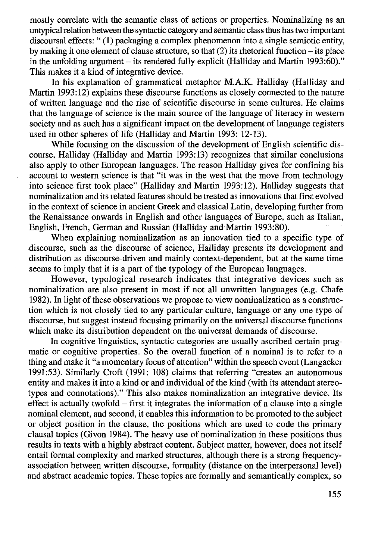mostly correlate with the semantic class of actions or properties. Nominalizing as an untypical relation between the syntactic category and semantic class thus has two important discoursal effects:" (1) packaging a complex phenomenon into a single semiotic entity, by making it one element of clause structure, so that (2) its rhetorical function -its place in the unfolding argument – its rendered fully explicit (Halliday and Martin 1993:60)." This makes it a kind of integrative device.

In his explanation of grammatical metaphor M.A.K. Halliday (Halliday and Martin 1993:12) explains these discourse functions as closely connected to the nature of written language and the rise of scientific discourse in some cultures. He claims that the language of science is the main source of the language of literacy in western society and as such has a significant impact on the development of language registers used in other spheres of life (Halliday and Martin 1993: 12-13).

While focusing on the discussion of the development of English scientific discourse, Halliday (Halliday and Martin 1993:13) recognizes that similar conclusions also apply to other European languages. The reason Halliday gives for confining his account to western science is that "it was in the west that the move from technology into science first took place" (Halliday and Martin 1993: 12). Halliday suggests that nominalization and its related features should be treated as innovations that first evolved in the context of science in ancient Greek and classical Latin, developing further from the Renaissance onwards in English and other languages of Europe, such as Italian, English; French, German and Russian (Halliday and Martin 1993:80).

When explaining nominalization as an innovation tied to a specific type of discourse, such as the discourse of science, Halliday presents its development and distribution as discourse-driven and mainly context-dependent, but at the same time seems to imply that it is a part of the typology of the European languages.

However, typological research indicates that integrative devices such as nominalization are also present in most if not all unwritten languages (e.g. Chafe 1982). In light of these observations we propose to view nominalization as a construction which is not closely tied to any particular culture, language or any one type of discourse, but suggest instead focusing primarily on the universal discourse functions which make its distribution dependent on the universal demands of discourse.

In cognitive linguistics, syntactic categories are usually ascribed certain pragmatic or cognitive properties. So the overall function of a nominal is to refer to a thing and make it "a momentary focus of attention" within the speech event (Langacker 1991 :53). Similarly Croft (1991: 108) claims that referring "creates an autonomous entity and makes it into a kind or and individual of the kind (with its attendant stereotypes and connotations)." This also makes nominalization an integrative device. Its effect is actually twofold – first it integrates the information of a clause into a single nominal element, and second, it enables this information to be promoted to the subject or object position in the clause, the positions which are used to code the primary clausal topics (Givon 1984). The heavy use of nominalization in these positions thus results in texts with a highly abstract content. Subject matter, however, does not itself entail formal complexity and marked structures, although there is a strong frequencyassociation between written discourse, formality (distance on the interpersonal level) and abstract academic topics. These topics are formally and semantically complex, so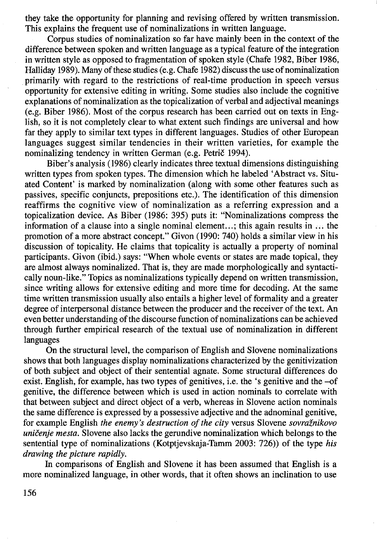they take the opportunity for planning and revising offered by written transmission. This explains the frequent use of nominalizations in written language.

Corpus studies of nominalization so far have mainly been in the context of the difference between spoken and written language as a typical feature of the integration in written style as opposed to fragmentation of spoken style (Chafe 1982, Biber 1986, Halliday 1989). Many of these studies (e.g. Chafe 1982) discuss the use of nominalization primarily with regard to the restrictions of real-time production in speech versus opportunity for extensive editing in writing. Some studies also include the cognitive explanations of nominalization as the topicalization of verbal and adjectival meanings (e.g. Biber 1986). Most of the corpus research has been carried out on texts in English, so it is not completely clear to what extent such findings are universal and how far they apply to similar text types in different languages. Studies of other European languages suggest similar tendencies in their written varieties, for example the nominalizing tendency in written German (e.g. Petrič 1994).

Biber's analysis (1986) clearly indicates three textual dimensions distinguishing written types from spoken types. The dimension which he labeled 'Abstract vs. Situated Content' is marked by nominalization (along with some other features such as passives, specific conjuncts, prepositions etc.). The identification of this dimension reaffirms the cognitive view of nominalization as a referring expression and a topicalization device. As Biber (1986: 395) puts it: "Nominalizations compress the information of a clause into a single nominal element...; this again results in ... the promotion of a more abstract concept." Givon (1990: 740) holds a similar view in his discussion of topicality. He claims that topicality is actually a property of nominal participants. Givon (ibid.) says: "When whole events or states are made topical, they are almost always nominalized. That is, they are made morphologically and syntactically noun-like." Topics as nominalizations typically depend on written transmission, since writing allows for extensive editing and more time for decoding. At the same time written transmission usually also entails a higher level of formality and a greater degree of interpersonal distance between the producer and the receiver of the text. An even better understanding of the discourse function of nominalizations can be achieved through further empirical research of the textual use of nominalization in different languages

On the structural level, the comparison of English and Slovene nominalizations shows that both languages display nominalizations characterized by the genitivization of both subject and object of their sentential agnate. Some structural differences do exist. English, for example, has two types of genitives, i.e. the 's genitive and the -of genitive, the difference between which is used in action nominals to correlate with that between subject and direct object of a verb, whereas in Slovene action nominals the same difference is expressed by a possessive adjective and the adnominal genitive, for example English *the enemy's destruction of the city* versus Slovene *sovraznikovo unicenje mesta.* Slovene also lacks the gerundive nominalization which belongs to the sentential type of nominalizations (Kotptjevskaja-Tamm 2003: 726)) of the type *his drawing the picture rapidly.* 

In comparisons of English and Slovene it has been assumed that English is a more nominalized language, in other words, that it often shows an inclination to use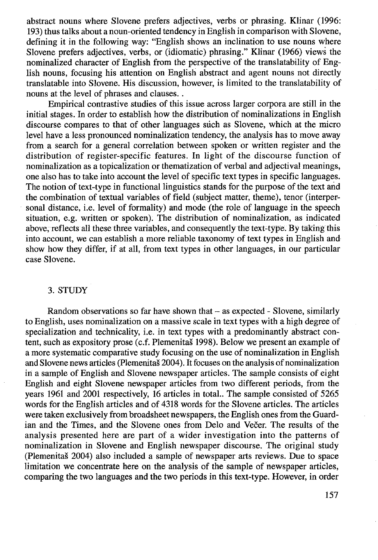abstract nouns where Slovene prefers adjectives, verbs or phrasing. Klinar (1996: 193) thus talks about a noun-oriented tendency in English in comparison with Slovene, defining it in the following way: "English shows an inclination to use nouns where Slovene prefers adjectives, verbs, or (idiomatic) phrasing." Klinar (1966) views the nominalized character of English from the perspective of the translatability of English nouns, focusing his attention on English abstract and agent nouns not directly translatable into Slovene. His discussion, however, is limited to the translatability of nouns at the level of phrases and clauses..

Empirical contrastive studies of this issue across larger corpora are still in the initial stages. In order to establish how the distribution of nominalizations in English discourse compares to that of other languages such as Slovene, which at the micro level have a less pronounced nominalization tendency, the analysis has to move away from a search for a general correlation between spoken or written register and the distribution of register-specific features. In light of the discourse function of nominalization as a topicalization or thematization of verbal and adjectival meanings, one also has to take into account the level of specific text types in specific languages. The notion of text-type in functional linguistics stands for the purpose of the text and the combination of textual variables of field (subject matter, theme), tenor (interpersonal distance, i.e. level of formality) and mode (the role of language in the speech situation, e.g. written or spoken). The distribution of nominalization, as indicated above, reflects all these three variables, and consequently the text-type. By taking this into account, we can establish a more reliable taxonomy of text types in English and show how they differ, if at all, from text types in other languages, in our particular case Slovene.

## 3. STUDY

Random observations so far have shown that- as expected - Slovene, similarly to English, uses nominalization on a massive scale in text types with a high degree of specialization and technicality, i.e. in text types with a predominantly abstract content, such as expository prose (c.f. Plemenitas 1998). Below we present an example of a more systematic comparative study focusing on the use of nominalization in English and Slovene news articles (Plemenitaš 2004). It focuses on the analysis of nominalization in a sample of English and Slovene newspaper articles. The sample consists of eight English and eight Slovene newspaper articles from two different periods, from the years 1961 and 2001 respectively, 16 articles in total.. The sample consisted of 5265 words for the English articles and of 4318 words for the Slovene articles. The articles were taken exclusively from broadsheet newspapers, the English ones from the Guardian and the Times, and the Slovene ones from Delo and Večer. The results of the analysis presented here are part of a wider investigation into the patterns of nominalization in Slovene and English newspaper discourse. The original study (Plemenitas 2004) also included a sample of newspaper arts reviews. Due to space limitation we concentrate here on the analysis of the sample of newspaper articles, comparing the two languages and the two periods in this text-type. However, in order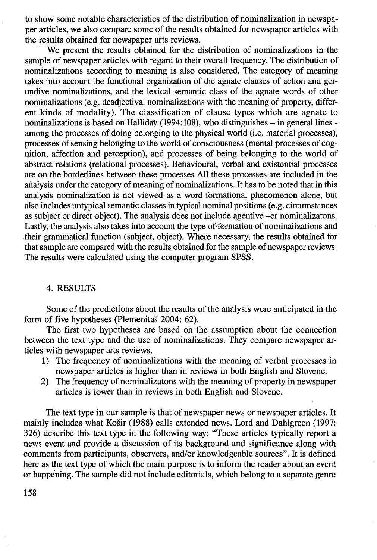to show some notable characteristics of the distribution of nominalization in newspaper articles, we also compare some of the results obtained for newspaper articles with the results obtained for newspaper arts reviews.

We present the results obtained for the distribution of nominalizations in the sample of newspaper articles with regard to their overall frequency. The distribution of nominalizations according to meaning is also considered. The category of meaning takes into account the functional organization of the agnate clauses of action and gerundive nominalizations, and the lexical semantic class of the agnate words of other nominalizations (e.g. deadjectival nominalizations with the meaning of property, different kinds of modality). The classification of clause types which are agnate to nominalizations is based on Halliday (1994:108), who distinguishes  $-$  in general lines among the processes of doing belonging to the physical world (i.e. material processes), processes of sensing belonging to the world of consciousness (mental processes of cognition, affection and perception), and processes of being belonging to the world of abstract relations (relational processes). Behavioural, verbal and existential processes are on the borderlines between these processes All these processes are included in the analysis under the category of meaning of nominalizations. It has to be noted that in this analysis nominalization is not viewed as a word-formational phenomenon alone, but also includes untypical semantic classes in typical nominal positions (e.g. circumstances as subject or direct object). The analysis does not include agentive -er nominalizatons. Lastly, the analysis also takes into account the type of formation of nominalizations and .their grammatical function (subject, object). Where necessary, the results obtained for that sample are compared with the results obtained for the sample of newspaper reviews. The results were calculated using the computer program SPSS.

## 4. RESULTS

Some of the predictions about the results of the analysis were anticipated in the form of five hypotheses (Plemenitas 2004: 62).

The first two hypotheses are based on the assumption about the connection between the text type and the use of nominalizations. They compare newspaper articles with newspaper arts reviews.

- 1) The frequency of nominalizations with the meaning of verbal processes in newspaper articles is higher than in reviews in both English and Slovene.
- 2) The frequency of nominalizatons with the meaning of property in newspaper articles is lower than in reviews in both English and Slovene.

The text type in our sample is that of newspaper news or newspaper articles. It mainly includes what Kosir (1988) calls extended news. Lord and Dahlgreen (1997: 326) describe this text type in the following way: "These articles typically report a news event and provide a discussion of its background and significance along with comments from participants, observers, and/or knowledgeable sources". It is defined here as the text type of which the main purpose is to inform the reader about an event or happening. The sample did not include editorials, which belong to a separate genre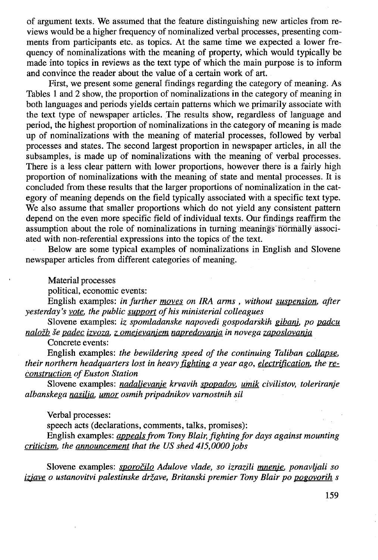of argument texts. We assumed that the feature distinguishing new articles from reviews would be a higher frequency of nominalized verbal processes, presenting comments from participants etc. as topics. At the same time we expected a lower frequency of nominalizations with the meaning of property, which would typically be made into topics in reviews as the text type of which the main purpose is to inform and convince the reader about the value of a certain work of art.

First, we present some general findings regarding the category of meaning. As Tables 1 and 2 show, the proportion of nominalizations in the category of meaning in both languages and periods yields certain patterns which we primarily associate with the text type of newspaper articles. The results show, regardless of language and period, the highest proportion of nominalizations in the category of meaning is made up of nominalizations with the meaning of material processes, followed by verbal processes and states. The second largest proportion in newspaper articles, in all the subsamples, is made up of nominalizations with the meaning of verbal processes. There is a less clear pattern with lower proportions, however there is a fairly high proportion of nominalizations with the meaning of state and mental processes. It is concluded from these results that the larger proportions of nominalization in the category of meaning depends on the field typically associated with a specific text type. We also assume that smaller proportions which do not yield any consistent pattern depend on the even more specific field of individual texts. Our findings reaffirm the assumption about the role of nominalizations in turning meanings normally associated with non-referential expressions into the topics of the text.

Below are some typical examples of nominalizations in English and Slovene newspaper articles from different categories of meaning.

Material processes

political, economic events:

English examples: *in further moves on IRA arms , without suspension. after yesterday's vote. the public support of his ministerial colleagues* 

Slovene examples: *iz spomladanske napovedi gospodarskih gibanj. po padcu nalof.b se padec izvoza. z omejevanjem napredovanja in novega zaposlovanja* 

Concrete events:

English examples: *the bewildering speed of the continuing Taliban collapse. their northern headquarters lost in heavy fighting a year ago, electrification. the reconstruction of Euston Station* 

Slovene examples: *nadaljevanje krvavih spopadov, umik civilistov, toleriranje albanskega nasilja, umor osmih pripadnikov varnostnih sil* 

Verbal processes:

speech acts (declarations, comments, talks, promises):

English examples: *appeals from Tony Blair, fighting for days against mounting criticism. the announcement that the US shed 415,0000 jobs* 

Slovene examples: *sporocilo Adulove vlade, so izrazili mnenje, ponavljali so izjave o ustanovitvi palestinske drzave, Britanski premier Tony Blair po pogovorih s*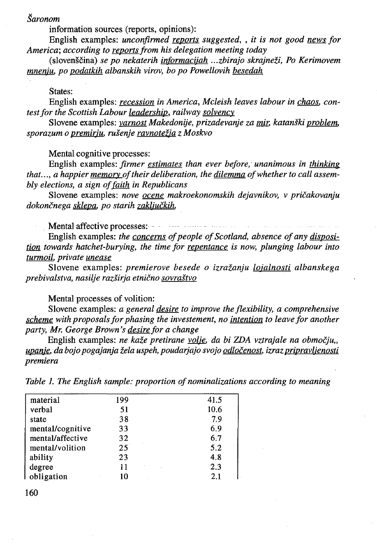# *Saronom*

information sources (reports, opinions):

English examples: *unconfirmed reports suggested,* , *it is not good news for America; according to reports from his delegation meeting today* 

(slovenscina) *se po nekaterih informacijah ... zbirajo skrajnezi, Po Kerimovem mnenju. po podatkih albanskih virov, bo po Powellovih besedah* 

### States:

English examples: *recession in America, Mcleish leaves labour in chaos, contest for the Scottish Labour leadership, railway solvency* 

Slovene examples: *varnost Makedonije, prizadevanje za mir, katanski problem. sporazum o premirju, rusenje ravnotef.ia z Moskvo* 

Mental cognitive processes:

English examples: *firmer estimates than ever before, unanimous in thinking that ... , a happier memory of their deliberation, the dilemma of whether to call assem*bly elections, a sign of faith in Republicans

Slovene examples: *nove ocene makroekonomskih dejavnikov, v pricakovanju dokoncnega sklepa, po starih zakljuckih,* 

Mental affective processes:

English examples: *the concerns of people of Scotland, absence of any disposition towards hatchet-burying, the time for repentance is now, plunging labour into turmoil. private unease* 

Slovene examples: *premierove besede o izrazanju lojalnosti albanskega prebivalstva, nasilje razsirja etnicno sovrastvo* 

Mental processes of volition:

Slovene examples: *a general desire to improve the flexibility, a comprehensive scheme with proposals for phasing the investement, no intention to leave for another party, Mr. George Brown's desire for a change* 

English examples: *ne kaze pretirane volje. da bi ZDA vztrajale na obmocju, upanje, da bojo pogajanja zela uspeh, poudarjajo svojo odlocenost, izrazpripravljenosti premiera* 

*Table 1. The English sample: proportion of nominalizations according to meaning* 

| material         | 199          | 41.5 |
|------------------|--------------|------|
| verbal           | 51           | 10.6 |
| state            | 38           | 7.9  |
| mental/cognitive | 33           | 6.9  |
| mental/affective | 32           | 6.7  |
| mental/volition  | $25^{\circ}$ | 5.2  |
| ability          | 23           | 4.8  |
| degree           | 11           | 2.3  |
| obligation       | 10           | 2.1  |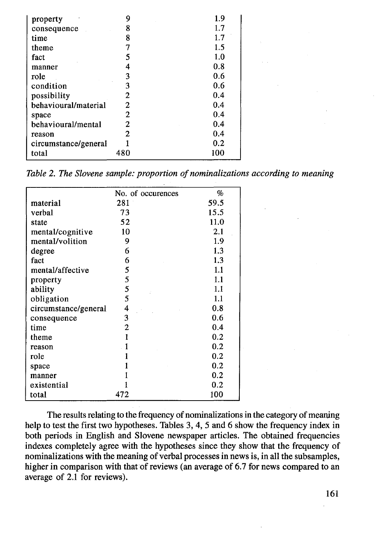| property             | 9   | 1.9 |
|----------------------|-----|-----|
| consequence          | 8   | 1.7 |
| time                 | 8   | 1.7 |
| theme                | 7   | 1.5 |
| fact                 | 5   | 1.0 |
| manner               |     | 0.8 |
| role                 | 3   | 0.6 |
| condition            | 3   | 0.6 |
| possibility          | 2   | 0.4 |
| behavioural/material | 2   | 0.4 |
| space                | 2   | 0.4 |
| behavioural/mental   | 2   | 0.4 |
| reason               | 2   | 0.4 |
| circumstance/general |     | 0.2 |
| total                | 480 | 100 |

*Table 2. The Slovene sample: proportion of nominalizations according to meaning* 

|                      | No. of occurences | %    |
|----------------------|-------------------|------|
| material             | 281               | 59.5 |
| verbal               | 73                | 15.5 |
| state                | 52                | 11.0 |
| mental/cognitive     | 10                | 2.1  |
| mental/volition      | 9                 | 1.9  |
| degree               | 6                 | 1.3  |
| fact                 | 6                 | 1.3  |
| mental/affective     | 5                 | 1.1  |
| property             | 5                 | 1.1  |
| ability              | 5                 | 1.1  |
| obligation           | 5                 | 1.1  |
| circumstance/general | 4                 | 0.8  |
| consequence          | 3                 | 0.6  |
| time                 | 2                 | 0.4  |
| theme                | 1                 | 0.2  |
| reason               | ı                 | 0.2  |
| role                 |                   | 0.2  |
| space                |                   | 0.2  |
| manner               |                   | 0.2  |
| existential          |                   | 0.2  |
| total                | 472               | 100  |

The results relating to the frequency of nominalizations in the category of meaning help to test the first two hypotheses. Tables 3, 4, 5 and 6 show the frequency index in both periods in English and Slovene newspaper articles. The obtained frequencies indexes completely agree with the hypotheses since they show that the frequency of nominalizations with the meaning of verbal processes in news is, in all the subsamples, higher in comparison with that of reviews (an average of 6.7 for news compared to an average of 2.1 for reviews).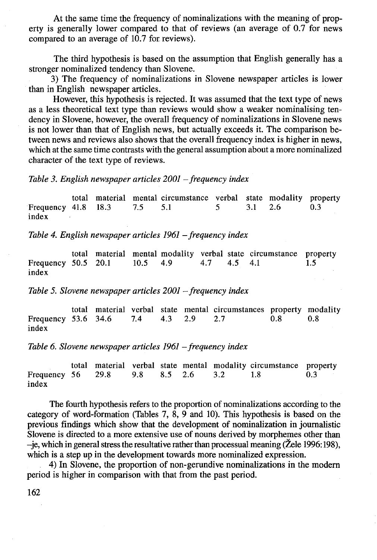At the same time the frequency of nominalizations with the meaning of property is generally lower compared to that of reviews (an average of 0.7 for news compared to an average of 10.7 for reviews).

The third hypothesis is based on the assumption that English generally has a stronger nominalized tendency than Slovene.

3) The frequency of nominalizations in Slovene newspaper articles is lower than in English newspaper articles.

However, this hypothesis is rejected. It was assumed that the text type of news as a less theoretical text type than reviews would show a weaker nominalising tendency in Slovene, however, the overall frequency of nominalizations in Slovene news is not lower than that of English news, but actually exceeds it. The comparison between news and reviews also shows that the overall frequency index is higher in news, which at the same time contrasts with the general assumption about a more nominalized character of the text type of reviews.

*Table 3. English newspaper articles 2001 – frequency index* 

total material mental circumstance verbal state modality property  $41.8$   $18.3$   $7.5$   $5.1$   $5$   $3.1$   $2.6$   $0.3$ Frequency 41.8 index

*Table 4. English newspaper articles 1961 -frequency index* 

total material mental modality verbal state circumstance property  $50.5$   $20.1$   $10.5$   $4.9$   $4.7$   $4.5$   $4.1$   $1.5$ Frequency 50.5 20.1 10.5 4.9 4.7 4.5 4.1 index

*Table 5. Slovene newspaper articles 2001 -frequency index* 

total material verbal state mental circumstances property modality  $53.6$   $34.6$   $7.4$   $4.3$   $2.9$   $2.7$   $0.8$   $0.8$ Frequency 53.6 34.6  $7.4$  4.3 2.9 2.7 index

*Table 6. Slovene newspaper articles 1961 -frequency index* 

total material verbal state mental modality circumstance property Frequency 56 29.8 9.8 8.5 2.6 3.2 1.8 0.3 index

The fourth hypothesis refers to the proportion of nominalizations according to the category of word-formation (Tables 7, 8, 9 and 10). This hypothesis is based on the previous findings which show that the development of nominalization in journalistic Slovene is directed to a more extensive use of nouns derived by morphemes other than -je, which in general stress the resultative rather than processual meaning (Žele 1996: 198), which is a step up in the development towards more nominalized expression.

4) In Slovene, the proportion of non-gerundive nominalizations in the modern period is higher in comparison with that from the past period.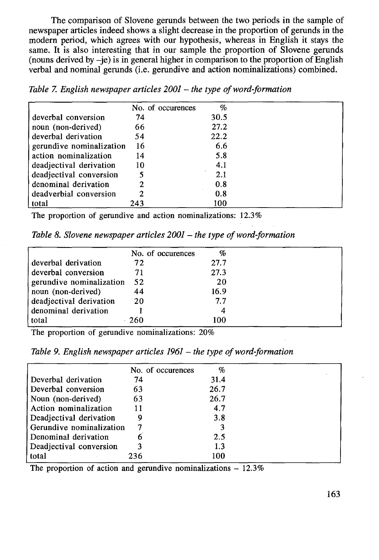The comparison of Slovene gerunds between the two periods in the sample of newspaper articles indeed shows a slight decrease in the proportion of gerunds in the modem period, which agrees with our hypothesis, whereas in English it stays the same. It is also interesting that in our sample the proportion of Slovene gerunds (nouns derived by  $-i$ e) is in general higher in comparison to the proportion of English verbal and nominal gerunds (i.e. gerundive and action nominalizations) combined.

|  |  |  |  |  |  |  |  | Table 7. English newspaper articles $2001$ – the type of word-formation |
|--|--|--|--|--|--|--|--|-------------------------------------------------------------------------|
|--|--|--|--|--|--|--|--|-------------------------------------------------------------------------|

|                          | No. of occurences | $\%$ |  |
|--------------------------|-------------------|------|--|
| deverbal conversion      | 74                | 30.5 |  |
| noun (non-derived)       | 66                | 27.2 |  |
| deverbal derivation      | 54                | 22.2 |  |
| gerundive nominalization | 16                | 6.6  |  |
| action nominalization    | 14                | 5.8  |  |
| deadjectival derivation  | 10                | 4.1  |  |
| deadjectival conversion  | 5                 | 2.1  |  |
| denominal derivation     | 2                 | 0.8  |  |
| deadverbial conversion   | 2                 | 0.8  |  |
| total                    | 243               | 100  |  |

The proportion of gerundive and action nominalizations: 12.3%

*Table 8. Slovene newspaper articles 2001 – the type of word-formation* 

|                          | No. of occurences | $\%$ |  |
|--------------------------|-------------------|------|--|
| deverbal derivation      | 72                | 27.7 |  |
| deverbal conversion      | 71                | 27.3 |  |
| gerundive nominalization | 52                | 20   |  |
| noun (non-derived)       | 44                | 16.9 |  |
| deadjectival derivation  | 20                | 7.7  |  |
| denominal derivation     |                   | 4    |  |
| total                    | - 260             | 100  |  |

The proportion of gerundive nominalizations: 20%

|  |  |  |  |  |  |  | Table 9. English newspaper articles $1961$ – the type of word-formation |
|--|--|--|--|--|--|--|-------------------------------------------------------------------------|
|--|--|--|--|--|--|--|-------------------------------------------------------------------------|

| No. of occurences        | %    |  |
|--------------------------|------|--|
| 74                       | 31.4 |  |
| 63                       | 26.7 |  |
| 63                       | 26.7 |  |
| 11                       | 4.7  |  |
| 9                        | 3.8  |  |
| Gerundive nominalization | 3    |  |
| 6                        | 2.5  |  |
| 3                        | 1.3  |  |
| 236                      | 100  |  |
|                          |      |  |

The proportion of action and gerundive nominalizations  $-12.3\%$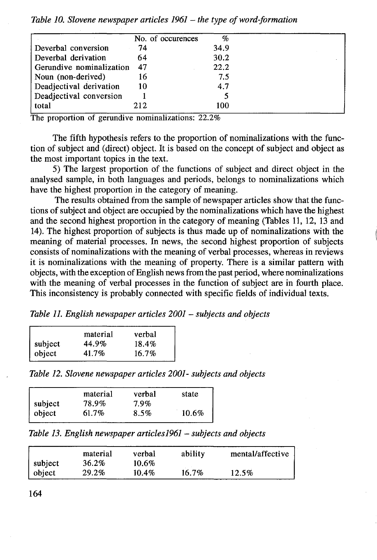|                          | No. of occurences | $\%$ |  |
|--------------------------|-------------------|------|--|
| Deverbal conversion      | 74                | 34.9 |  |
| Deverbal derivation      | 64                | 30.2 |  |
| Gerundive nominalization | 47                | 22.2 |  |
| Noun (non-derived)       | 16                | 7.5  |  |
| Deadjectival derivation  | 10                | 4.7  |  |
| Deadjectival conversion  |                   |      |  |
| total                    | 212               | 100  |  |

*Table 10. Slovene newspaper articles 1961- the type of word-formation* 

The proportion of gerundive nominalizations: 22.2%

The fifth hypothesis refers to the proportion of nominalizations with the function of subject and (direct) object. It is based on the concept of subject and object as the most important topics in the text.

5) The largest proportion of the functions of subject and direct object in the analysed sample, in both languages and periods, belongs to nominalizations which have the highest proportion in the category of meaning.

The results obtained from the sample of newspaper articles show that the functions of subject and object are occupied by the nominalizations which have the highest and the second highest proportion in the category of meaning (Tables 11, 12, 13 and 14). The highest proportion of subjects is thus made up of nominalizations with the meaning of material processes. In news, the second highest proportion of subjects consists of nominalizations with the meaning of verbal processes, whereas in reviews it is nominalizations with the meaning of property. There is a similar pattern with objects, with the exception of English news from the past period, where nominalizations with the meaning of verbal processes in the function of subject are in fourth place. This inconsistency is probably connected with specific fields of individual texts.

*Table* 11. *English newspaper articles 2001* - *subjects and objects* 

|       | verbal   |
|-------|----------|
| 44.9% | 18.4%    |
| 41.7% | $16.7\%$ |
|       | material |

*Table 12. Slovene newspaper articles 2001- subjects and objects* 

|                           | material | verbal | state |
|---------------------------|----------|--------|-------|
|                           | 78.9%    | 7.9%   |       |
| $\vert$ subject<br>object | 61.7%    | 8.5%   | 10.6% |

*Table 13. English newspaper articles1961 -subjects and objects* 

|         | material | verbal   | ability | mental/affective |
|---------|----------|----------|---------|------------------|
| subject | 36.2%    | 10.6%    |         |                  |
| object  | 29.2%    | $10.4\%$ | 16.7%   | 12.5%            |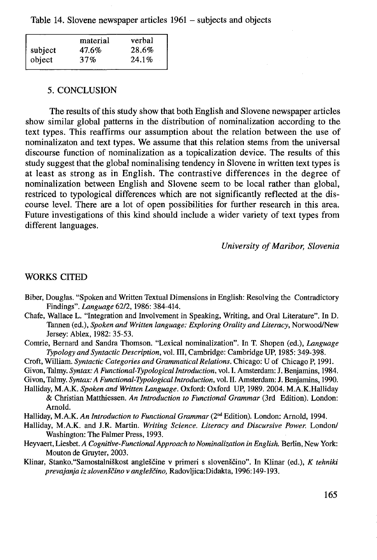Table 14. Slovene newspaper articles 1961 – subjects and objects

|         | material | verbal |
|---------|----------|--------|
| subject | 47.6%    | 28.6%  |
| object  | 37%      | 24.1%  |

#### 5. CONCLUSION

The results of this study show that both English and Slovene newspaper articles show similar global patterns in the distribution of nominalization according to the text types. This reaffirms our assumption about the relation between the use of nominalizaton and text types. We assume that this relation stems from the universal discourse function of nominalization as a topicalization device. The results of this study suggest that the global nominalising tendency in Slovene in written text types is at least as strong as in English. The contrastive differences in the degree of nominalization between English and Slovene seem to be local rather than global, restriced to typological differences which are not significantly reflected at the discourse level. There are a lot of open possibilities for further research in this area. Future investigations of this kind should include a wider variety of text types from different languages.

*University of Maribor, Slovenia* 

### WORKS CITED

- Biber, Douglas. "Spoken and Written Textual Dimensions in English: Resolving the Contradictory Findings". *Language 6212,* 1986: 384-414.
- Chafe, Wallace L. "Integration and Involvement in Speaking, Writing, and Oral Literature". In D. Tannen (ed.), *Spoken and Written language: Exploring Orality and Literacy,* Norwood/New Jersey: Ablex, 1982: 35-53.
- Comrie, Bernard and Sandra Thomson. "Lexical nominalization". In T. Shopen (ed.), *Language Typology and Syntactic Description,* vol. Ill, Cambridge: Cambridge UP, 1985: 349-398.
- Croft, William. *Syntactic Categories and Grammatical Relations.* Chicago: U of Chicago P, 1991.
- Givon, Talmy. *Syntax: A Functional-Typologicallntroduction,* vol. I. Amsterdam: J. Benjamins, 1984.
- Givon, Talmy. *Syntax: A Functional-Typologicallntroduction,* vol. 11. Amsterdam: J. Benjamins, 1990.
- Halliday, M.A.K. *Spoken and Written Language.* Oxford: Oxford UP, 1989. 2004. M.A.K.Halliday & Christian Matthiessen. *An Introduction to Functional Grammar* (3rd Edition). London: Arnold.
- Halliday, M.A.K. *An Introduction to Functional Grammar* (2"d Edition). London: Arnold, 1994.
- Halliday, M.A.K. and J.R. Martin. *Writing Science. Literacy and Discursive Power.* London/ Washington: The Falmer Press, 1993.
- Heyvaert, Liesbet. *A Cognitive-Functional Approach to Nominalization in English.* Berlin, New York: Mouton de Gruyter, 2003.
- Klinar, Stanko. "Samostalniškost angleščine v primeri s slovenščino". In Klinar (ed.), *K tehniki prevajanja iz slovenscino v angldcino,* Radovljica:Didakta, 1996:149-193.